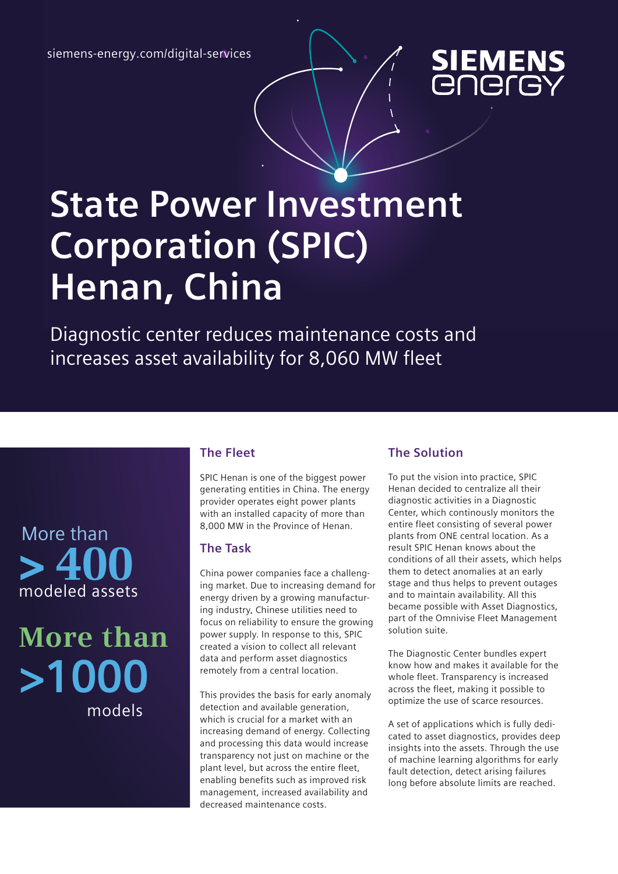siemens-energy.com/digital-services



# **State Power Investment Corporation (SPIC) Henan, China**

Diagnostic center reduces maintenance costs and increases asset availability for 8,060 MW fleet

### More than **> 400** modeled assets

## **>1000** models **More than**

#### **The Fleet**

SPIC Henan is one of the biggest power generating entities in China. The energy provider operates eight power plants with an installed capacity of more than 8,000 MW in the Province of Henan.

#### **The Task**

China power companies face a challenging market. Due to increasing demand for energy driven by a growing manufacturing industry, Chinese utilities need to focus on reliability to ensure the growing power supply. In response to this, SPIC created a vision to collect all relevant data and perform asset diagnostics remotely from a central location.

This provides the basis for early anomaly detection and available generation, which is crucial for a market with an increasing demand of energy. Collecting and processing this data would increase transparency not just on machine or the plant level, but across the entire fleet, enabling benefits such as improved risk management, increased availability and decreased maintenance costs.

#### **The Solution**

To put the vision into practice, SPIC Henan decided to centralize all their diagnostic activities in a Diagnostic Center, which continously monitors the entire fleet consisting of several power plants from ONE central location. As a result SPIC Henan knows about the conditions of all their assets, which helps them to detect anomalies at an early stage and thus helps to prevent outages and to maintain availability. All this became possible with Asset Diagnostics, part of the Omnivise Fleet Management solution suite.

The Diagnostic Center bundles expert know how and makes it available for the whole fleet. Transparency is increased across the fleet, making it possible to optimize the use of scarce resources.

A set of applications which is fully dedicated to asset diagnostics, provides deep insights into the assets. Through the use of machine learning algorithms for early fault detection, detect arising failures long before absolute limits are reached.